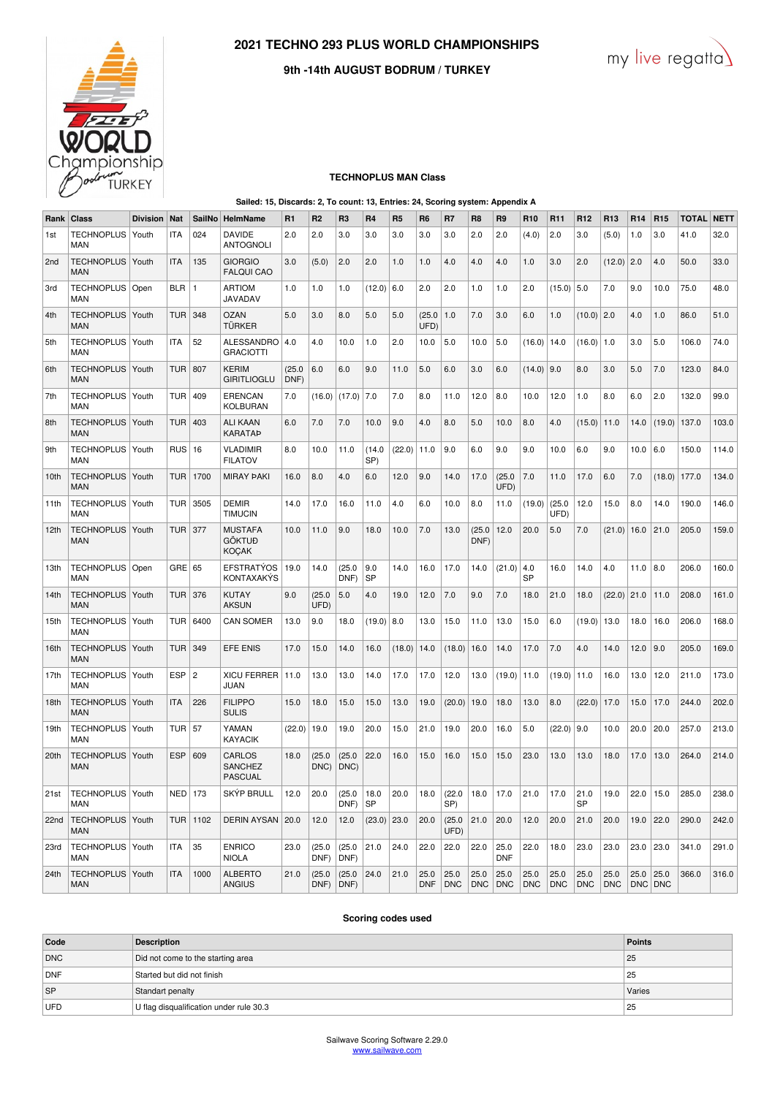



## **9th -14th AUGUST BODRUM / TURKEY**

#### **TECHNOPLUS MAN Class**

#### **Sailed: 15, Discards: 2, To count: 13, Entries: 24, Scoring system: Appendix A**

| Rank | Class                            | <b>Division</b> | Nat        | <b>SailNo</b>  | HelmName                                        | R <sub>1</sub> | R2             | R <sub>3</sub> | R <sub>4</sub>    | R <sub>5</sub> | R <sub>6</sub>     | R7                 | R <sub>8</sub>     | R <sub>9</sub>     | R <sub>10</sub>    | R <sub>11</sub>    | R <sub>12</sub>    | R <sub>13</sub>    | R <sub>14</sub>    | R <sub>15</sub>    | <b>TOTAL</b> | <b>NETT</b> |
|------|----------------------------------|-----------------|------------|----------------|-------------------------------------------------|----------------|----------------|----------------|-------------------|----------------|--------------------|--------------------|--------------------|--------------------|--------------------|--------------------|--------------------|--------------------|--------------------|--------------------|--------------|-------------|
| 1st  | <b>TECHNOPLUS</b><br>MAN         | Youth           | <b>ITA</b> | 024            | <b>DAVIDE</b><br><b>ANTOGNOLI</b>               | 2.0            | 2.0            | 3.0            | 3.0               | 3.0            | 3.0                | 3.0                | 2.0                | 2.0                | (4.0)              | 2.0                | 3.0                | (5.0)              | 1.0                | 3.0                | 41.0         | 32.0        |
| 2nd  | <b>TECHNOPLUS</b><br><b>MAN</b>  | Youth           | <b>ITA</b> | 135            | <b>GIORGIO</b><br><b>FALQUI CAO</b>             | 3.0            | (5.0)          | 2.0            | 2.0               | 1.0            | 1.0                | 4.0                | 4.0                | 4.0                | 1.0                | 3.0                | 2.0                | (12.0)             | 2.0                | 4.0                | 50.0         | 33.0        |
| 3rd  | TECHNOPLUS   Open<br><b>MAN</b>  |                 | <b>BLR</b> | $\overline{1}$ | <b>ARTIOM</b><br><b>JAVADAV</b>                 | 1.0            | 1.0            | 1.0            | (12.0)            | 6.0            | 2.0                | 2.0                | 1.0                | 1.0                | 2.0                | (15.0)             | 5.0                | 7.0                | 9.0                | 10.0               | 75.0         | 48.0        |
| 4th  | <b>TECHNOPLUS</b><br><b>MAN</b>  | Youth           | <b>TUR</b> | 348            | OZAN<br><b>TÜRKER</b>                           | 5.0            | 3.0            | 8.0            | 5.0               | 5.0            | (25.0)<br>UFD)     | 1.0                | 7.0                | 3.0                | 6.0                | 1.0                | (10.0)             | 2.0                | 4.0                | 1.0                | 86.0         | 51.0        |
| 5th  | <b>TECHNOPLUS</b><br><b>MAN</b>  | Youth           | <b>ITA</b> | 52             | <b>ALESSANDRO</b><br><b>GRACIOTTI</b>           | 4.0            | 4.0            | 10.0           | 1.0               | 2.0            | 10.0               | 5.0                | 10.0               | 5.0                | (16.0)             | 14.0               | (16.0)             | 1.0                | 3.0                | 5.0                | 106.0        | 74.0        |
| 6th  | <b>TECHNOPLUS</b><br><b>MAN</b>  | Youth           | <b>TUR</b> | 807            | KERIM<br><b>GIRITLIOGLU</b>                     | (25.0)<br>DNF) | 6.0            | 6.0            | 9.0               | 11.0           | 5.0                | 6.0                | 3.0                | 6.0                | (14.0)             | 9.0                | 8.0                | 3.0                | 5.0                | 7.0                | 123.0        | 84.0        |
| 7th  | <b>TECHNOPLUS</b><br><b>MAN</b>  | Youth           | TUR        | 409            | <b>ERENCAN</b><br>KOLBURAN                      | 7.0            | (16.0)         | (17.0)         | 7.0               | 7.0            | 8.0                | 11.0               | 12.0               | 8.0                | 10.0               | 12.0               | 1.0                | 8.0                | 6.0                | 2.0                | 132.0        | 99.0        |
| 8th  | <b>TECHNOPLUS</b><br><b>MAN</b>  | Youth           | <b>TUR</b> | 403            | ALI KAAN<br><b>KARATAP</b>                      | 6.0            | 7.0            | 7.0            | 10.0              | 9.0            | 4.0                | 8.0                | 5.0                | 10.0               | 8.0                | 4.0                | (15.0)             | 11.0               | 14.0               | (19.0)             | 137.0        | 103.0       |
| 9th  | <b>TECHNOPLUS</b><br><b>MAN</b>  | Youth           | RUS        | 16             | <b>VLADIMIR</b><br><b>FILATOV</b>               | 8.0            | 10.0           | 11.0           | (14.0<br>SP)      | (22.0)         | 11.0               | 9.0                | 6.0                | 9.0                | 9.0                | 10.0               | 6.0                | 9.0                | 10.0               | 6.0                | 150.0        | 114.0       |
| 10th | <b>TECHNOPLUS</b><br><b>MAN</b>  | Youth           | <b>TUR</b> | 1700           | <b>MIRAY PAKI</b>                               | 16.0           | 8.0            | 4.0            | 6.0               | 12.0           | 9.0                | 14.0               | 17.0               | (25.0)<br>UFD)     | 7.0                | 11.0               | 17.0               | 6.0                | 7.0                | (18.0)             | 177.0        | 134.0       |
| 11th | <b>TECHNOPLUS</b><br><b>MAN</b>  | Youth           | TUR        | 3505           | <b>DEMIR</b><br><b>TIMUCIN</b>                  | 14.0           | 17.0           | 16.0           | 11.0              | 4.0            | 6.0                | 10.0               | 8.0                | 11.0               | (19.0)             | (25.0)<br>UFD)     | 12.0               | 15.0               | 8.0                | 14.0               | 190.0        | 146.0       |
| 12th | <b>TECHNOPLUS</b><br><b>MAN</b>  | Youth           | TUR        | 377            | <b>MUSTAFA</b><br><b>GÖKTUĐ</b><br><b>KOÇAK</b> | 10.0           | 11.0           | 9.0            | 18.0              | 10.0           | 7.0                | 13.0               | (25.0)<br>DNF)     | 12.0               | 20.0               | 5.0                | 7.0                | (21.0)             | 16.0               | 21.0               | 205.0        | 159.0       |
| 13th | <b>TECHNOPLUS</b><br><b>MAN</b>  | Open            | GRE        | 65             | <b>EFSTRATYOS</b><br><b>KONTAXAKYS</b>          | 19.0           | 14.0           | (25.0)<br>DNF) | 9.0<br><b>SP</b>  | 14.0           | 16.0               | 17.0               | 14.0               | (21.0)             | 4.0<br><b>SP</b>   | 16.0               | 14.0               | 4.0                | 11.0               | 8.0                | 206.0        | 160.0       |
| 14th | <b>TECHNOPLUS</b><br><b>MAN</b>  | Youth           | <b>TUR</b> | 376            | <b>KUTAY</b><br><b>AKSUN</b>                    | 9.0            | (25.0)<br>UFD) | 5.0            | 4.0               | 19.0           | 12.0               | 7.0                | 9.0                | 7.0                | 18.0               | 21.0               | 18.0               | (22.0)             | 21.0               | 11.0               | 208.0        | 161.0       |
| 15th | <b>TECHNOPLUS</b><br>MAN         | Youth           | TUR        | 6400           | <b>CAN SOMER</b>                                | 13.0           | 9.0            | 18.0           | (19.0)            | 8.0            | 13.0               | 15.0               | 11.0               | 13.0               | 15.0               | 6.0                | (19.0)             | 13.0               | 18.0               | 16.0               | 206.0        | 168.0       |
| 16th | <b>TECHNOPLUS</b><br><b>MAN</b>  | Youth           | <b>TUR</b> | 349            | <b>EFE ENIS</b>                                 | 17.0           | 15.0           | 14.0           | 16.0              | (18.0)         | 14.0               | (18.0)             | 16.0               | 14.0               | 17.0               | 7.0                | 4.0                | 14.0               | 12.0               | 9.0                | 205.0        | 169.0       |
| 17th | <b>TECHNOPLUS</b><br><b>MAN</b>  | Youth           | <b>ESP</b> | $\overline{c}$ | <b>XICU FERRER</b><br>JUAN                      | 11.0           | 13.0           | 13.0           | 14.0              | 17.0           | 17.0               | 12.0               | 13.0               | (19.0)             | 11.0               | (19.0)             | 11.0               | 16.0               | 13.0               | 12.0               | 211.0        | 173.0       |
| 18th | <b>TECHNOPLUS</b><br><b>MAN</b>  | Youth           | <b>ITA</b> | 226            | <b>FILIPPO</b><br><b>SULIS</b>                  | 15.0           | 18.0           | 15.0           | 15.0              | 13.0           | 19.0               | (20.0)             | 19.0               | 18.0               | 13.0               | 8.0                | (22.0)             | 17.0               | 15.0               | 17.0               | 244.0        | 202.0       |
| 19th | <b>TECHNOPLUS</b><br><b>MAN</b>  | Youth           | TUR $57$   |                | YAMAN<br><b>KAYACIK</b>                         | (22.0)         | 19.0           | 19.0           | 20.0              | 15.0           | 21.0               | 19.0               | 20.0               | 16.0               | 5.0                | (22.0)             | 9.0                | 10.0               | 20.0               | 20.0               | 257.0        | 213.0       |
| 20th | <b>TECHNOPLUS</b><br>MAN         | Youth           | <b>ESP</b> | 609            | CARLOS<br><b>SANCHEZ</b><br><b>PASCUAL</b>      | 18.0           | (25.0)<br>DNC) | (25.0)<br>DNC) | 22.0              | 16.0           | 15.0               | 16.0               | 15.0               | 15.0               | 23.0               | 13.0               | 13.0               | 18.0               | 17.0               | 13.0               | 264.0        | 214.0       |
| 21st | TECHNOPLUS   Youth<br><b>MAN</b> |                 | <b>NED</b> | 173            | <b>SKYP BRULL</b>                               | 12.0           | 20.0           | (25.0)<br>DNF) | 18.0<br><b>SP</b> | 20.0           | 18.0               | (22.0)<br>SP)      | 18.0               | 17.0               | 21.0               | 17.0               | 21.0<br><b>SP</b>  | 19.0               | 22.0               | 15.0               | 285.0        | 238.0       |
| 22nd | <b>TECHNOPLUS</b><br><b>MAN</b>  | Youth           | <b>TUR</b> | 1102           | <b>DERIN AYSAN</b>                              | 20.0           | 12.0           | 12.0           | (23.0)            | 23.0           | 20.0               | (25.0)<br>UFD)     | 21.0               | 20.0               | 12.0               | 20.0               | 21.0               | 20.0               | 19.0               | 22.0               | 290.0        | 242.0       |
| 23rd | <b>TECHNOPLUS</b><br>MAN         | Youth           | <b>ITA</b> | 35             | <b>ENRICO</b><br>NIOLA                          | 23.0           | (25.0)<br>DNF) | (25.0)<br>DNF) | 21.0              | 24.0           | 22.0               | 22.0               | 22.0               | 25.0<br><b>DNF</b> | 22.0               | 18.0               | 23.0               | 23.0               | 23.0               | 23.0               | 341.0        | 291.0       |
| 24th | <b>TECHNOPLUS</b><br><b>MAN</b>  | Youth           | <b>ITA</b> | 1000           | <b>ALBERTO</b><br><b>ANGIUS</b>                 | 21.0           | (25.0)<br>DNF) | (25.0)<br>DNF) | 24.0              | 21.0           | 25.0<br><b>DNF</b> | 25.0<br><b>DNC</b> | 25.0<br><b>DNC</b> | 25.0<br><b>DNC</b> | 25.0<br><b>DNC</b> | 25.0<br><b>DNC</b> | 25.0<br><b>DNC</b> | 25.0<br><b>DNC</b> | 25.0<br><b>DNC</b> | 25.0<br><b>DNC</b> | 366.0        | 316.0       |

## **Scoring codes used**

| Code | <b>Description</b>                      | <b>Points</b> |
|------|-----------------------------------------|---------------|
| DNC  | Did not come to the starting area       | 25            |
| DNF  | Started but did not finish              | 25            |
| ∣sP  | Standart penalty                        | Varies        |
| UFD  | U flag disqualification under rule 30.3 | 25            |